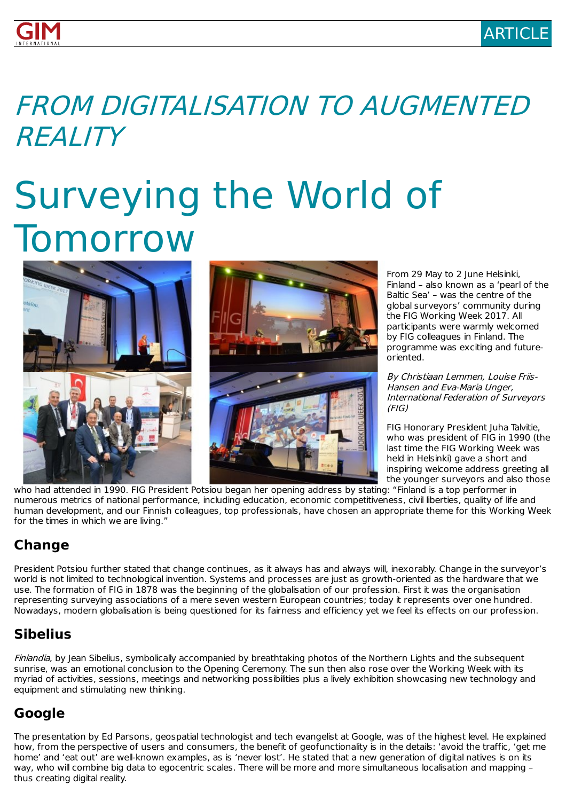

# FROM DIGITALISATION TO AUGMENTED REALITY

# Surveying the World of Tomorrow







From 29 May to 2 June Helsinki, Finland – also known as a 'pearl of the Baltic Sea' – was the centre of the global surveyors' community during the FIG Working Week 2017. All participants were warmly welcomed by FIG colleagues in Finland. The programme was exciting and futureoriented.

By Christiaan Lemmen, Louise Friis-Hansen and Eva-Maria Unger, International Federation of Surveyors (FIG)

FIG Honorary President Juha Talvitie, who was president of FIG in 1990 (the last time the FIG Working Week was held in Helsinki) gave a short and inspiring welcome address greeting all the younger surveyors and also those

who had attended in 1990. FIG President Potsiou began her opening address by stating: "Finland is a top performer in numerous metrics of national performance, including education, economic competitiveness, civil liberties, quality of life and human development, and our Finnish colleagues, top professionals, have chosen an appropriate theme for this Working Week for the times in which we are living."

# **Change**

President Potsiou further stated that change continues, as it always has and always will, inexorably. Change in the surveyor's world is not limited to technological invention. Systems and processes are just as growth-oriented as the hardware that we use. The formation of FIG in 1878 was the beginning of the globalisation of our profession. First it was the organisation representing surveying associations of a mere seven western European countries; today it represents over one hundred. Nowadays, modern globalisation is being questioned for its fairness and efficiency yet we feel its effects on our profession.

# **Sibelius**

Finlandia, by Jean Sibelius, symbolically accompanied by breathtaking photos of the Northern Lights and the subsequent sunrise, was an emotional conclusion to the Opening Ceremony. The sun then also rose over the Working Week with its myriad of activities, sessions, meetings and networking possibilities plus a lively exhibition showcasing new technology and equipment and stimulating new thinking.

# **Google**

The presentation by Ed Parsons, geospatial technologist and tech evangelist at Google, was of the highest level. He explained how, from the perspective of users and consumers, the benefit of geofunctionality is in the details: 'avoid the traffic, 'get me home' and 'eat out' are well-known examples, as is 'never lost'. He stated that a new generation of digital natives is on its way, who will combine big data to egocentric scales. There will be more and more simultaneous localisation and mapping – thus creating digital reality.